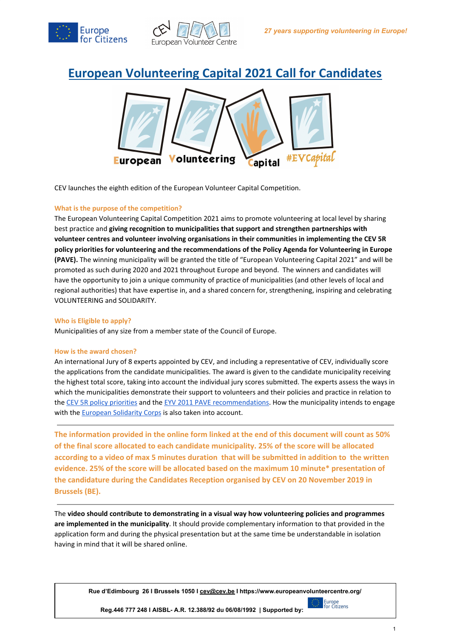



# **European Volunteering Capital 2021 Call for Candidates**



CEV launches the eighth edition of the European Volunteer Capital Competition.

#### **What is the purpose of the competition?**

The European Volunteering Capital Competition 2021 aims to promote volunteering at local level by sharing best practice and **giving recognition to municipalities that support and strengthen partnerships with volunteer centres and volunteer involving organisations in their communities in implementing the CEV 5R policy priorities for volunteering and the recommendations of the Policy Agenda for Volunteering in Europe (PAVE).** The winning municipality will be granted the title of "European Volunteering Capital 2021" and will be promoted as such during 2020 and 2021 throughout Europe and beyond. The winners and candidates will have the opportunity to join a unique community of practice of municipalities (and other levels of local and regional authorities) that have expertise in, and a shared concern for, strengthening, inspiring and celebrating VOLUNTEERING and SOLIDARITY.

#### **Who is Eligible to apply?**

Municipalities of any size from a member state of the Council of Europe.

#### **How is the award chosen?**

An international Jury of 8 experts appointed by CEV, and including a representative of CEV, individually score the applications from the candidate municipalities. The award is given to the candidate municipality receiving the highest total score, taking into account the individual jury scores submitted. The experts assess the ways in which the municipalities demonstrate their support to volunteers and their policies and practice in relation to the CEV 5R policy [priorities](https://issuu.com/european_volunteer_centre/docs/helping_hands_report_3_) and the EYV 2011 PAVE [recommendations.](https://issuu.com/european_volunteer_centre/docs/eyv2011alliance_pave_copyfriendly) How the municipality intends to engage with the **[European](https://europa.eu/youth/solidarity_en) Solidarity Corps** is also taken into account.

**The information provided in the online form linked at the end of this document will count as 50% of the final score allocated to each candidate municipality. 25% of the score will be allocated according to a video of max 5 minutes duration that will be submitted in addition to the written evidence. 25% of the score will be allocated based on the maximum 10 minute\* presentation of the candidature during the Candidates Reception organised by CEV on 20 November 2019 in Brussels (BE).**

The **video should contribute to demonstrating in a visual way how volunteering policies and programmes are implemented in the municipality**. It should provide complementary information to that provided in the application form and during the physical presentation but at the same time be understandable in isolation having in mind that it will be shared online.

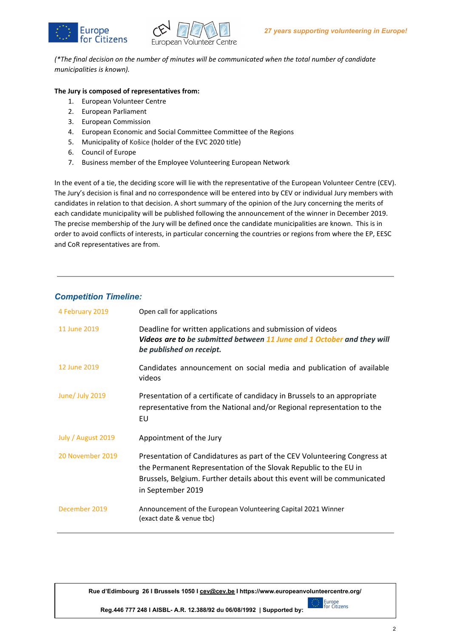



*(\*The final decision on the number of minutes will be communicated when the total number of candidate municipalities is known).*

## **The Jury is composed of representatives from:**

- 1. European Volunteer Centre
- 2. European Parliament
- 3. European Commission
- 4. European Economic and Social Committee Committee of the Regions
- 5. Municipality of Košice (holder of the EVC 2020 title)
- 6. Council of Europe
- 7. Business member of the Employee Volunteering European Network

In the event of a tie, the deciding score will lie with the representative of the European Volunteer Centre (CEV). The Jury's decision is final and no correspondence will be entered into by CEV or individual Jury members with candidates in relation to that decision. A short summary of the opinion of the Jury concerning the merits of each candidate municipality will be published following the announcement of the winner in December 2019. The precise membership of the Jury will be defined once the candidate municipalities are known. This is in order to avoid conflicts of interests, in particular concerning the countries or regions from where the EP, EESC and CoR representatives are from.

# *Competition Timeline:*

| 4 February 2019    | Open call for applications                                                                                                                                                                                                                    |
|--------------------|-----------------------------------------------------------------------------------------------------------------------------------------------------------------------------------------------------------------------------------------------|
| 11 June 2019       | Deadline for written applications and submission of videos<br>Videos are to be submitted between 11 June and 1 October and they will<br>be published on receipt.                                                                              |
| 12 June 2019       | Candidates announcement on social media and publication of available<br>videos                                                                                                                                                                |
| June/ July 2019    | Presentation of a certificate of candidacy in Brussels to an appropriate<br>representative from the National and/or Regional representation to the<br>EU                                                                                      |
| July / August 2019 | Appointment of the Jury                                                                                                                                                                                                                       |
| 20 November 2019   | Presentation of Candidatures as part of the CEV Volunteering Congress at<br>the Permanent Representation of the Slovak Republic to the EU in<br>Brussels, Belgium. Further details about this event will be communicated<br>in September 2019 |
| December 2019      | Announcement of the European Volunteering Capital 2021 Winner<br>(exact date & venue tbc)                                                                                                                                                     |

**Rue d'Edimbourg 26 I Brussels 1050 I [cev@cev.be](mailto:cev@cev.be) I https://www.europeanvolunteercentre.org/**

**Reg.446 777 248 I AISBL- A.R. 12.388/92 du 06/08/1992 | Supported by:**

Europe<br>For Citizens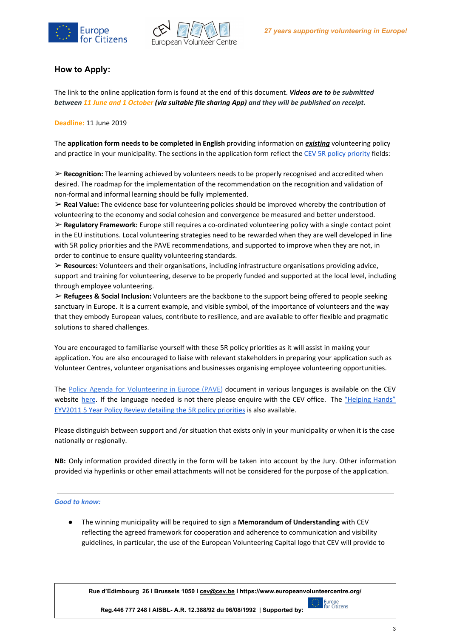



## **How to Apply:**

The link to the online application form is found at the end of this document. *Videos are to be submitted* between 11 June and 1 October (via suitable file sharing App) and they will be published on receipt.

**Deadline:** 11 June 2019

The **application form needs to be completed in English** providing information on *existing* volunteering policy and practice in your municipality. The sections in the application form reflect the CEV 5R policy [priority](https://docs.wixstatic.com/ugd/3ec99c_d09820abb77847678d0cc98dc8a3e0fc.pdf) fields:

➢ **Recognition:** The learning achieved by volunteers needs to be properly recognised and accredited when desired. The roadmap for the implementation of the recommendation on the recognition and validation of non-formal and informal learning should be fully implemented.

➢ **Real Value:** The evidence base for volunteering policies should be improved whereby the contribution of volunteering to the economy and social cohesion and convergence be measured and better understood.

➢ **Regulatory Framework:** Europe still requires a co-ordinated volunteering policy with a single contact point in the EU institutions. Local volunteering strategies need to be rewarded when they are well developed in line with 5R policy priorities and the PAVE recommendations, and supported to improve when they are not, in order to continue to ensure quality volunteering standards.

➢ **Resources:** Volunteers and their organisations, including infrastructure organisations providing advice, support and training for volunteering, deserve to be properly funded and supported at the local level, including through employee volunteering.

➢ **Refugees & Social Inclusion:** Volunteers are the backbone to the support being offered to people seeking sanctuary in Europe. It is a current example, and visible symbol, of the importance of volunteers and the way that they embody European values, contribute to resilience, and are available to offer flexible and pragmatic solutions to shared challenges.

You are encouraged to familiarise yourself with these 5R policy priorities as it will assist in making your application. You are also encouraged to liaise with relevant stakeholders in preparing your application such as Volunteer Centres, volunteer organisations and businesses organising employee volunteering opportunities.

The Policy Agenda for [Volunteering](https://issuu.com/european_volunteer_centre/docs/eyv2011alliance_pave_copyfriendly) in Europe (PAVE) document in various languages is available on the CEV website [here](https://www.europeanvolunteercentre.org/publications). If the language needed is not there please enquire with the CEV office. The ["Helping](https://issuu.com/european_volunteer_centre/docs/helping_hands_report_3_) Hands" EYV2011 5 Year Policy Review detailing the 5R policy [priorities](https://issuu.com/european_volunteer_centre/docs/helping_hands_report_3_) is also available.

Please distinguish between support and /or situation that exists only in your municipality or when it is the case nationally or regionally.

**NB:** Only information provided directly in the form will be taken into account by the Jury. Other information provided via hyperlinks or other email attachments will not be considered for the purpose of the application.

#### *Good to know:*

● The winning municipality will be required to sign a **Memorandum of Understanding** with CEV reflecting the agreed framework for cooperation and adherence to communication and visibility guidelines, in particular, the use of the European Volunteering Capital logo that CEV will provide to



**Reg.446 777 248 I AISBL- A.R. 12.388/92 du 06/08/1992 | Supported by:**